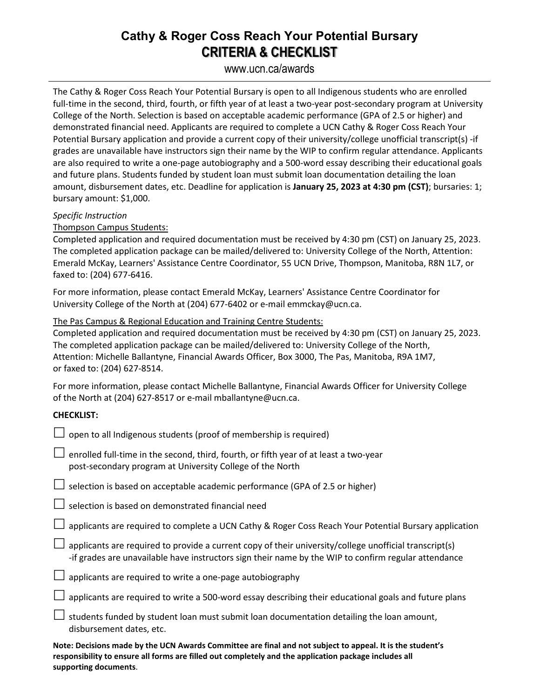## **Cathy & Roger Coss Reach Your Potential Bursary CRITERIA & CHECKLIST**

www.ucn.ca/awards

The Cathy & Roger Coss Reach Your Potential Bursary is open to all Indigenous students who are enrolled full-time in the second, third, fourth, or fifth year of at least a two-year post-secondary program at University College of the North. Selection is based on acceptable academic performance (GPA of 2.5 or higher) and demonstrated financial need. Applicants are required to complete a UCN Cathy & Roger Coss Reach Your Potential Bursary application and provide a current copy of their university/college unofficial transcript(s) -if grades are unavailable have instructors sign their name by the WIP to confirm regular attendance. Applicants are also required to write a one-page autobiography and a 500-word essay describing their educational goals and future plans. Students funded by student loan must submit loan documentation detailing the loan amount, disbursement dates, etc. Deadline for application is **January 25, 2023 at 4:30 pm (CST)**; bursaries: 1; bursary amount: \$1,000.

### *Specific Instruction*

Thompson Campus Students:

Completed application and required documentation must be received by 4:30 pm (CST) on January 25, 2023. The completed application package can be mailed/delivered to: University College of the North, Attention: Emerald McKay, Learners' Assistance Centre Coordinator, 55 UCN Drive, Thompson, Manitoba, R8N 1L7, or faxed to: (204) 677-6416.

For more information, please contact Emerald McKay, Learners' Assistance Centre Coordinator for University College of the North at (204) 677-6402 or e-mail emmckay@ucn.ca.

The Pas Campus & Regional Education and Training Centre Students:

Completed application and required documentation must be received by 4:30 pm (CST) on January 25, 2023. The completed application package can be mailed/delivered to: University College of the North, Attention: Michelle Ballantyne, Financial Awards Officer, Box 3000, The Pas, Manitoba, R9A 1M7, or faxed to: (204) 627-8514.

For more information, please contact Michelle Ballantyne, Financial Awards Officer for University College of the North at (204) 627-8517 or e-mail mballantyne@ucn.ca.

### **CHECKLIST:**

| $\Box$ open to all Indigenous students (proof of membership is required)                     |
|----------------------------------------------------------------------------------------------|
| $\Box$ enrolled full-time in the second, third, fourth, or fifth year of at least a two-year |
| post-secondary program at University College of the North                                    |

 $\Box$  selection is based on acceptable academic performance (GPA of 2.5 or higher)

 $\Box$  selection is based on demonstrated financial need

 $\Box$  applicants are required to complete a UCN Cathy & Roger Coss Reach Your Potential Bursary application

 $\Box$  applicants are required to provide a current copy of their university/college unofficial transcript(s) -if grades are unavailable have instructors sign their name by the WIP to confirm regular attendance

 $\Box$  applicants are required to write a one-page autobiography

 $\Box$  applicants are required to write a 500-word essay describing their educational goals and future plans

 $\Box$  students funded by student loan must submit loan documentation detailing the loan amount, disbursement dates, etc.

**Note: Decisions made by the UCN Awards Committee are final and not subject to appeal. It is the student's responsibility to ensure all forms are filled out completely and the application package includes all supporting documents**.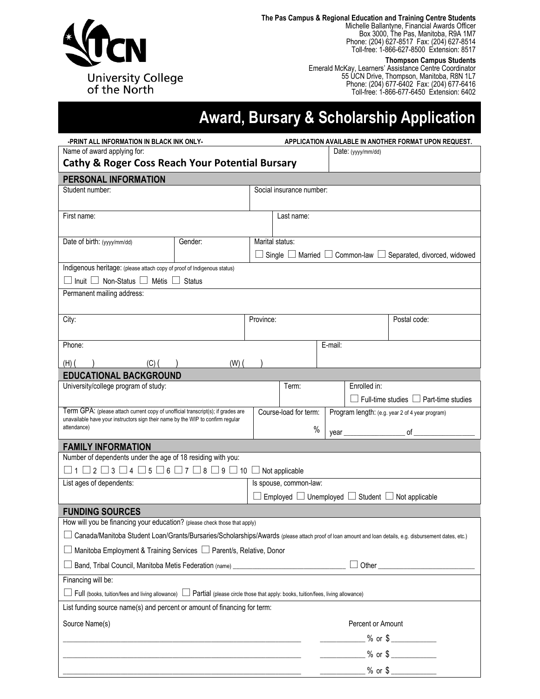

**The Pas Campus & Regional Education and Training Centre Students**

Michelle Ballantyne, Financial Awards Officer Box 3000, The Pas, Manitoba, R9A 1M7 Phone: (204) 627-8517 Fax: (204) 627-8514 Toll-free: 1-866-627-8500 Extension: 8517

**Thompson Campus Students**

Emerald McKay, Learners' Assistance Centre Coordinator 55 UCN Drive, Thompson, Manitoba, R8N 1L7 Phone: (204) 677-6402 Fax: (204) 677-6416 Toll-free: 1-866-677-6450 Extension: 6402

# **Award, Bursary & Scholarship Application**

| -PRINT ALL INFORMATION IN BLACK INK ONLY-                                                                                                                           |                                                                                                                 | APPLICATION AVAILABLE IN ANOTHER FORMAT UPON REQUEST. |                          |         |                                                                                                                                                                                                                                                                                                                        |                                                                                    |  |  |
|---------------------------------------------------------------------------------------------------------------------------------------------------------------------|-----------------------------------------------------------------------------------------------------------------|-------------------------------------------------------|--------------------------|---------|------------------------------------------------------------------------------------------------------------------------------------------------------------------------------------------------------------------------------------------------------------------------------------------------------------------------|------------------------------------------------------------------------------------|--|--|
| Name of award applying for:                                                                                                                                         |                                                                                                                 |                                                       | Date: (yyyy/mm/dd)       |         |                                                                                                                                                                                                                                                                                                                        |                                                                                    |  |  |
| <b>Cathy &amp; Roger Coss Reach Your Potential Bursary</b>                                                                                                          |                                                                                                                 |                                                       |                          |         |                                                                                                                                                                                                                                                                                                                        |                                                                                    |  |  |
| PERSONAL INFORMATION                                                                                                                                                |                                                                                                                 |                                                       |                          |         |                                                                                                                                                                                                                                                                                                                        |                                                                                    |  |  |
| Student number:                                                                                                                                                     |                                                                                                                 |                                                       | Social insurance number: |         |                                                                                                                                                                                                                                                                                                                        |                                                                                    |  |  |
| First name:                                                                                                                                                         |                                                                                                                 |                                                       | Last name:               |         |                                                                                                                                                                                                                                                                                                                        |                                                                                    |  |  |
| Date of birth: (yyyy/mm/dd)                                                                                                                                         | Gender:                                                                                                         | Marital status:                                       |                          |         |                                                                                                                                                                                                                                                                                                                        |                                                                                    |  |  |
|                                                                                                                                                                     |                                                                                                                 |                                                       |                          |         |                                                                                                                                                                                                                                                                                                                        | $\Box$ Single $\Box$ Married $\Box$ Common-law $\Box$ Separated, divorced, widowed |  |  |
| Indigenous heritage: (please attach copy of proof of Indigenous status)                                                                                             |                                                                                                                 |                                                       |                          |         |                                                                                                                                                                                                                                                                                                                        |                                                                                    |  |  |
| $\Box$ Inuit $\Box$ Non-Status $\Box$ Métis $\Box$ Status                                                                                                           |                                                                                                                 |                                                       |                          |         |                                                                                                                                                                                                                                                                                                                        |                                                                                    |  |  |
| Permanent mailing address:                                                                                                                                          |                                                                                                                 |                                                       |                          |         |                                                                                                                                                                                                                                                                                                                        |                                                                                    |  |  |
|                                                                                                                                                                     |                                                                                                                 |                                                       |                          |         |                                                                                                                                                                                                                                                                                                                        |                                                                                    |  |  |
| City:                                                                                                                                                               |                                                                                                                 | Province:                                             |                          |         |                                                                                                                                                                                                                                                                                                                        | Postal code:                                                                       |  |  |
| Phone:                                                                                                                                                              |                                                                                                                 |                                                       |                          | E-mail: |                                                                                                                                                                                                                                                                                                                        |                                                                                    |  |  |
| $(H)$ (<br>(C) (                                                                                                                                                    | $(W)$ (                                                                                                         |                                                       |                          |         |                                                                                                                                                                                                                                                                                                                        |                                                                                    |  |  |
| <b>EDUCATIONAL BACKGROUND</b>                                                                                                                                       |                                                                                                                 |                                                       |                          |         |                                                                                                                                                                                                                                                                                                                        |                                                                                    |  |  |
| University/college program of study:                                                                                                                                |                                                                                                                 |                                                       | Term:                    |         | Enrolled in:                                                                                                                                                                                                                                                                                                           |                                                                                    |  |  |
|                                                                                                                                                                     |                                                                                                                 |                                                       |                          |         |                                                                                                                                                                                                                                                                                                                        | $\Box$ Full-time studies $\Box$ Part-time studies                                  |  |  |
| Term GPA: (please attach current copy of unofficial transcript(s); if grades are<br>unavailable have your instructors sign their name by the WIP to confirm regular |                                                                                                                 |                                                       | Course-load for term:    |         |                                                                                                                                                                                                                                                                                                                        | Program length: (e.g. year 2 of 4 year program)                                    |  |  |
| attendance)                                                                                                                                                         |                                                                                                                 |                                                       | $\%$                     |         | year $\frac{1}{2}$ $\frac{1}{2}$ $\frac{1}{2}$ $\frac{1}{2}$ $\frac{1}{2}$ $\frac{1}{2}$ $\frac{1}{2}$ $\frac{1}{2}$ $\frac{1}{2}$ $\frac{1}{2}$ $\frac{1}{2}$ $\frac{1}{2}$ $\frac{1}{2}$ $\frac{1}{2}$ $\frac{1}{2}$ $\frac{1}{2}$ $\frac{1}{2}$ $\frac{1}{2}$ $\frac{1}{2}$ $\frac{1}{2}$ $\frac{1}{2}$ $\frac{1}{$ | of $\overline{\phantom{a}}$                                                        |  |  |
| <b>FAMILY INFORMATION</b>                                                                                                                                           |                                                                                                                 |                                                       |                          |         |                                                                                                                                                                                                                                                                                                                        |                                                                                    |  |  |
| Number of dependents under the age of 18 residing with you:                                                                                                         |                                                                                                                 |                                                       |                          |         |                                                                                                                                                                                                                                                                                                                        |                                                                                    |  |  |
| $\Box$ 1 $\Box$ 2 $\Box$ 3 $\Box$ 4 $\Box$ 5 $\Box$ 6 $\Box$ 7 $\Box$ 8 $\Box$ 9 $\Box$ 10 $\Box$ Not applicable                                                    |                                                                                                                 |                                                       |                          |         |                                                                                                                                                                                                                                                                                                                        |                                                                                    |  |  |
| List ages of dependents:                                                                                                                                            |                                                                                                                 |                                                       | Is spouse, common-law:   |         |                                                                                                                                                                                                                                                                                                                        |                                                                                    |  |  |
|                                                                                                                                                                     |                                                                                                                 |                                                       |                          |         |                                                                                                                                                                                                                                                                                                                        | Employed $\Box$ Unemployed $\Box$ Student $\Box$ Not applicable                    |  |  |
| <b>FUNDING SOURCES</b>                                                                                                                                              |                                                                                                                 |                                                       |                          |         |                                                                                                                                                                                                                                                                                                                        |                                                                                    |  |  |
|                                                                                                                                                                     | How will you be financing your education? (please check those that apply)                                       |                                                       |                          |         |                                                                                                                                                                                                                                                                                                                        |                                                                                    |  |  |
| Canada/Manitoba Student Loan/Grants/Bursaries/Scholarships/Awards (please attach proof of loan amount and loan details, e.g. disbursement dates, etc.)              |                                                                                                                 |                                                       |                          |         |                                                                                                                                                                                                                                                                                                                        |                                                                                    |  |  |
| □ Manitoba Employment & Training Services □ Parent/s, Relative, Donor                                                                                               |                                                                                                                 |                                                       |                          |         |                                                                                                                                                                                                                                                                                                                        |                                                                                    |  |  |
| Band, Tribal Council, Manitoba Metis Federation (name) __________________________                                                                                   |                                                                                                                 |                                                       |                          |         |                                                                                                                                                                                                                                                                                                                        |                                                                                    |  |  |
| Financing will be:                                                                                                                                                  |                                                                                                                 |                                                       |                          |         |                                                                                                                                                                                                                                                                                                                        |                                                                                    |  |  |
| $\Box$ Full (books, tuition/fees and living allowance) $\Box$ Partial (please circle those that apply: books, tuition/fees, living allowance)                       |                                                                                                                 |                                                       |                          |         |                                                                                                                                                                                                                                                                                                                        |                                                                                    |  |  |
| List funding source name(s) and percent or amount of financing for term:                                                                                            |                                                                                                                 |                                                       |                          |         |                                                                                                                                                                                                                                                                                                                        |                                                                                    |  |  |
| Source Name(s)                                                                                                                                                      |                                                                                                                 |                                                       |                          |         | Percent or Amount                                                                                                                                                                                                                                                                                                      |                                                                                    |  |  |
|                                                                                                                                                                     | the contract of the contract of the contract of the contract of the contract of the contract of the contract of |                                                       |                          |         |                                                                                                                                                                                                                                                                                                                        | $\frac{1}{2}$ % or \$                                                              |  |  |
|                                                                                                                                                                     |                                                                                                                 |                                                       |                          |         |                                                                                                                                                                                                                                                                                                                        | $\frac{1}{2}$ % or \$                                                              |  |  |
|                                                                                                                                                                     |                                                                                                                 |                                                       |                          |         | ________ % or \$ __________                                                                                                                                                                                                                                                                                            |                                                                                    |  |  |